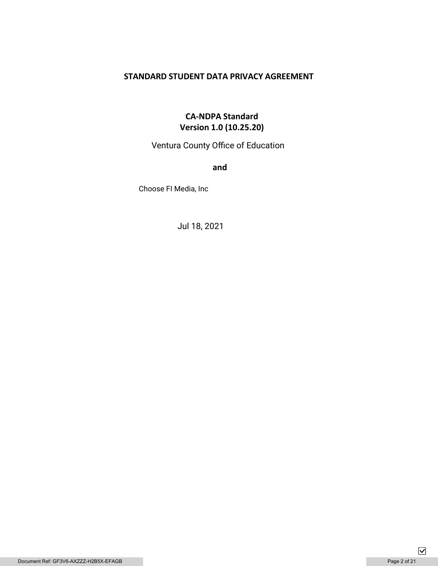# **STANDARD STUDENT DATA PRIVACY AGREEMENT**

# **CA-NDPA Standard Version 1.0 (10.25.20)**

Ventura County Office of Education

**and** 

Choose FI Media, Inc

Jul 18, 2021

 $\boxed{\mathbf{\mathsf{v}}}$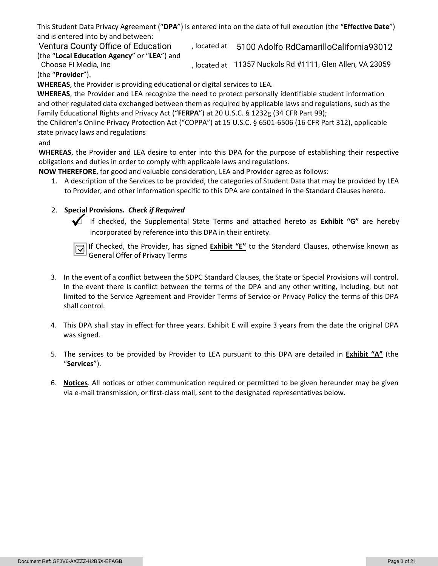This Student Data Privacy Agreement ("**DPA**") is entered into on the date of full execution (the "**Effective Date**") and is entered into by and between:

Ventura County Office of Education (biorated at 05100 Adolfo RdCamarilloCalifornia93012 (the "**Local Education Agency**" or "**LEA**") and

, located at Choose FI Media, Inc 11357 Nuckols Rd #1111, Glen Allen, VA 23059 (the "**Provider**").

**WHEREAS**, the Provider is providing educational or digital services to LEA.

**WHEREAS**, the Provider and LEA recognize the need to protect personally identifiable student information and other regulated data exchanged between them as required by applicable laws and regulations, such as the Family Educational Rights and Privacy Act ("**FERPA**") at 20 U.S.C. § 1232g (34 CFR Part 99);

the Children's Online Privacy Protection Act ("COPPA") at 15 U.S.C. § 6501-6506 (16 CFR Part 312), applicable state privacy laws and regulations

#### and

**WHEREAS**, the Provider and LEA desire to enter into this DPA for the purpose of establishing their respective obligations and duties in order to comply with applicable laws and regulations.

**NOW THEREFORE**, for good and valuable consideration, LEA and Provider agree as follows:

1. A description of the Services to be provided, the categories of Student Data that may be provided by LEA to Provider, and other information specific to this DPA are contained in the Standard Clauses hereto.

# 2. **Special Provisions.** *Check if Required*

 If checked, the Supplemental State Terms and attached hereto as **Exhibit "G"** are hereby incorporated by reference into this DPA in their entirety.

If Checked, the Provider, has signed **Exhibit "E"** to the Standard Clauses, otherwise known as General Offer of Privacy Terms

- 3. In the event of a conflict between the SDPC Standard Clauses, the State or Special Provisions will control. In the event there is conflict between the terms of the DPA and any other writing, including, but not limited to the Service Agreement and Provider Terms of Service or Privacy Policy the terms of this DPA shall control.
- 4. This DPA shall stay in effect for three years. Exhibit E will expire 3 years from the date the original DPA was signed.
- 5. The services to be provided by Provider to LEA pursuant to this DPA are detailed in **Exhibit "A"** (the "**Services**").
- 6. **Notices**. All notices or other communication required or permitted to be given hereunder may be given via e-mail transmission, or first-class mail, sent to the designated representatives below.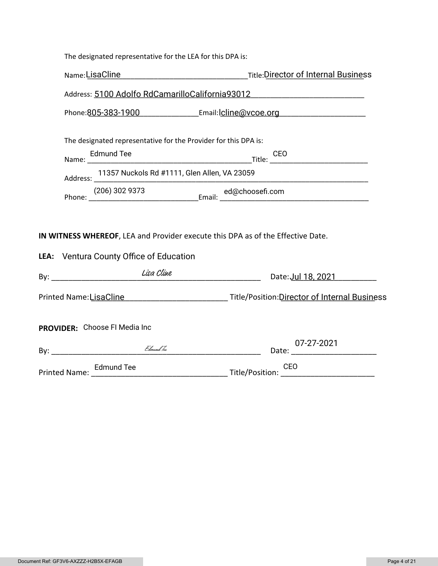| The designated representative for the LEA for this DPA is: |  |
|------------------------------------------------------------|--|
|------------------------------------------------------------|--|

|                                                                                                                                                                               | Address: 5100 Adolfo RdCamarilloCalifornia93012 |  |  |  |
|-------------------------------------------------------------------------------------------------------------------------------------------------------------------------------|-------------------------------------------------|--|--|--|
| Phone:805-383-1900 Email:lcline@vcoe.org Fermanical Contract Phone:805-383-1900                                                                                               |                                                 |  |  |  |
| The designated representative for the Provider for this DPA is:                                                                                                               |                                                 |  |  |  |
| <b>Edmund Tee</b>                                                                                                                                                             |                                                 |  |  |  |
| Address: 11357 Nuckols Rd #1111, Glen Allen, VA 23059<br><u> 1980 - Johann John Stone, markin amerikan bisa di sebagai pertama dan pertama dan pertama dan pertama dan pe</u> |                                                 |  |  |  |
|                                                                                                                                                                               |                                                 |  |  |  |
| IN WITNESS WHEREOF, LEA and Provider execute this DPA as of the Effective Date.                                                                                               |                                                 |  |  |  |
| LEA: Ventura County Office of Education                                                                                                                                       |                                                 |  |  |  |
|                                                                                                                                                                               |                                                 |  |  |  |
| Printed Name:LisaCline _______________________________Title/Position:Director of Internal Business                                                                            |                                                 |  |  |  |
| <b>PROVIDER:</b> Choose FI Media Inc                                                                                                                                          |                                                 |  |  |  |
|                                                                                                                                                                               | 07-27-2021                                      |  |  |  |
| Printed Name: Edmund Tee CEO<br>CEO Title/Position: CEO                                                                                                                       |                                                 |  |  |  |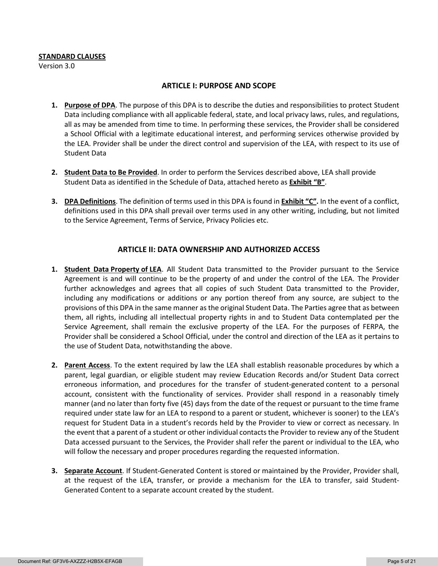#### **STANDARD CLAUSES**

Version 3.0

#### **ARTICLE I: PURPOSE AND SCOPE**

- **1. Purpose of DPA**. The purpose of this DPA is to describe the duties and responsibilities to protect Student Data including compliance with all applicable federal, state, and local privacy laws, rules, and regulations, all as may be amended from time to time. In performing these services, the Provider shall be considered a School Official with a legitimate educational interest, and performing services otherwise provided by the LEA. Provider shall be under the direct control and supervision of the LEA, with respect to its use of Student Data
- **2. Student Data to Be Provided**. In order to perform the Services described above, LEA shall provide Student Data as identified in the Schedule of Data, attached hereto as **Exhibit "B"**.
- **3. DPA Definitions**. The definition of terms used in this DPA is found in **Exhibit "C".** In the event of a conflict, definitions used in this DPA shall prevail over terms used in any other writing, including, but not limited to the Service Agreement, Terms of Service, Privacy Policies etc.

#### **ARTICLE II: DATA OWNERSHIP AND AUTHORIZED ACCESS**

- **1. Student Data Property of LEA**. All Student Data transmitted to the Provider pursuant to the Service Agreement is and will continue to be the property of and under the control of the LEA. The Provider further acknowledges and agrees that all copies of such Student Data transmitted to the Provider, including any modifications or additions or any portion thereof from any source, are subject to the provisions of this DPA in the same manner as the original Student Data. The Parties agree that as between them, all rights, including all intellectual property rights in and to Student Data contemplated per the Service Agreement, shall remain the exclusive property of the LEA. For the purposes of FERPA, the Provider shall be considered a School Official, under the control and direction of the LEA as it pertains to the use of Student Data, notwithstanding the above.
- **2. Parent Access**. To the extent required by law the LEA shall establish reasonable procedures by which a parent, legal guardian, or eligible student may review Education Records and/or Student Data correct erroneous information, and procedures for the transfer of student-generated content to a personal account, consistent with the functionality of services. Provider shall respond in a reasonably timely manner (and no later than forty five (45) days from the date of the request or pursuant to the time frame required under state law for an LEA to respond to a parent or student, whichever is sooner) to the LEA's request for Student Data in a student's records held by the Provider to view or correct as necessary. In the event that a parent of a student or other individual contacts the Provider to review any of the Student Data accessed pursuant to the Services, the Provider shall refer the parent or individual to the LEA, who will follow the necessary and proper procedures regarding the requested information.
- **3. Separate Account**. If Student-Generated Content is stored or maintained by the Provider, Provider shall, at the request of the LEA, transfer, or provide a mechanism for the LEA to transfer, said Student-Generated Content to a separate account created by the student.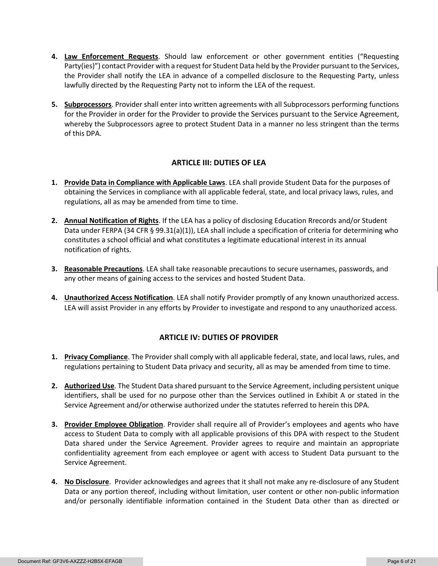- **4. Law Enforcement Requests**. Should law enforcement or other government entities ("Requesting Party(ies)") contact Provider with a request for Student Data held by the Provider pursuant to the Services, the Provider shall notify the LEA in advance of a compelled disclosure to the Requesting Party, unless lawfully directed by the Requesting Party not to inform the LEA of the request.
- **5. Subprocessors**. Provider shall enter into written agreements with all Subprocessors performing functions for the Provider in order for the Provider to provide the Services pursuant to the Service Agreement, whereby the Subprocessors agree to protect Student Data in a manner no less stringent than the terms of this DPA.

### **ARTICLE III: DUTIES OF LEA**

- **1. Provide Data in Compliance with Applicable Laws**. LEA shall provide Student Data for the purposes of obtaining the Services in compliance with all applicable federal, state, and local privacy laws, rules, and regulations, all as may be amended from time to time.
- **2. Annual Notification of Rights**. If the LEA has a policy of disclosing Education Rrecords and/or Student Data under FERPA (34 CFR § 99.31(a)(1)), LEA shall include a specification of criteria for determining who constitutes a school official and what constitutes a legitimate educational interest in its annual notification of rights.
- **3. Reasonable Precautions**. LEA shall take reasonable precautions to secure usernames, passwords, and any other means of gaining access to the services and hosted Student Data.
- **4. Unauthorized Access Notification**. LEA shall notify Provider promptly of any known unauthorized access. LEA will assist Provider in any efforts by Provider to investigate and respond to any unauthorized access.

### **ARTICLE IV: DUTIES OF PROVIDER**

- **1. Privacy Compliance**. The Provider shall comply with all applicable federal, state, and local laws, rules, and regulations pertaining to Student Data privacy and security, all as may be amended from time to time.
- **2. Authorized Use**. The Student Data shared pursuant to the Service Agreement, including persistent unique identifiers, shall be used for no purpose other than the Services outlined in Exhibit A or stated in the Service Agreement and/or otherwise authorized under the statutes referred to herein this DPA.
- **3. Provider Employee Obligation**. Provider shall require all of Provider's employees and agents who have access to Student Data to comply with all applicable provisions of this DPA with respect to the Student Data shared under the Service Agreement. Provider agrees to require and maintain an appropriate confidentiality agreement from each employee or agent with access to Student Data pursuant to the Service Agreement.
- **4. No Disclosure**. Provider acknowledges and agrees that it shall not make any re-disclosure of any Student Data or any portion thereof, including without limitation, user content or other non-public information and/or personally identifiable information contained in the Student Data other than as directed or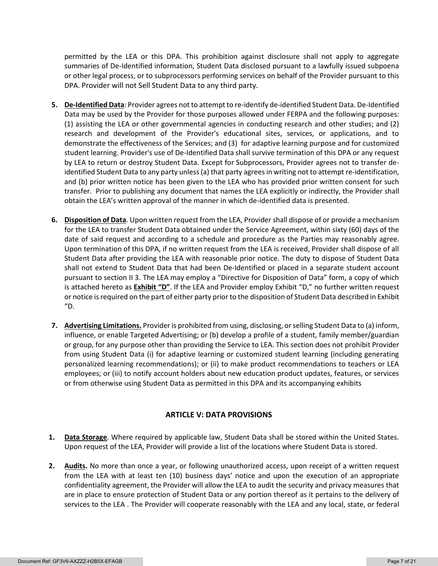permitted by the LEA or this DPA. This prohibition against disclosure shall not apply to aggregate summaries of De-Identified information, Student Data disclosed pursuant to a lawfully issued subpoena or other legal process, or to subprocessors performing services on behalf of the Provider pursuant to this DPA. Provider will not Sell Student Data to any third party.

- **5. De-Identified Data**: Provider agrees not to attempt to re-identify de-identified Student Data. De-Identified Data may be used by the Provider for those purposes allowed under FERPA and the following purposes: (1) assisting the LEA or other governmental agencies in conducting research and other studies; and (2) research and development of the Provider's educational sites, services, or applications, and to demonstrate the effectiveness of the Services; and (3) for adaptive learning purpose and for customized student learning. Provider's use of De-Identified Data shall survive termination of this DPA or any request by LEA to return or destroy Student Data. Except for Subprocessors, Provider agrees not to transfer deidentified Student Data to any party unless (a) that party agrees in writing not to attempt re-identification, and (b) prior written notice has been given to the LEA who has provided prior written consent for such transfer. Prior to publishing any document that names the LEA explicitly or indirectly, the Provider shall obtain the LEA's written approval of the manner in which de-identified data is presented.
- **6. Disposition of Data**. Upon written request from the LEA, Provider shall dispose of or provide a mechanism for the LEA to transfer Student Data obtained under the Service Agreement, within sixty (60) days of the date of said request and according to a schedule and procedure as the Parties may reasonably agree. Upon termination of this DPA, if no written request from the LEA is received, Provider shall dispose of all Student Data after providing the LEA with reasonable prior notice. The duty to dispose of Student Data shall not extend to Student Data that had been De-Identified or placed in a separate student account pursuant to section II 3. The LEA may employ a "Directive for Disposition of Data" form, a copy of which is attached hereto as **Exhibit "D"**. If the LEA and Provider employ Exhibit "D," no further written request or notice is required on the part of either party prior to the disposition of Student Data described in Exhibit  $"D.$
- **7. Advertising Limitations.** Provider is prohibited from using, disclosing, or selling Student Data to (a) inform, influence, or enable Targeted Advertising; or (b) develop a profile of a student, family member/guardian or group, for any purpose other than providing the Service to LEA. This section does not prohibit Provider from using Student Data (i) for adaptive learning or customized student learning (including generating personalized learning recommendations); or (ii) to make product recommendations to teachers or LEA employees; or (iii) to notify account holders about new education product updates, features, or services or from otherwise using Student Data as permitted in this DPA and its accompanying exhibits

### **ARTICLE V: DATA PROVISIONS**

- **1. Data Storage**. Where required by applicable law, Student Data shall be stored within the United States. Upon request of the LEA, Provider will provide a list of the locations where Student Data is stored.
- **2. Audits.** No more than once a year, or following unauthorized access, upon receipt of a written request from the LEA with at least ten (10) business days' notice and upon the execution of an appropriate confidentiality agreement, the Provider will allow the LEA to audit the security and privacy measures that are in place to ensure protection of Student Data or any portion thereof as it pertains to the delivery of services to the LEA . The Provider will cooperate reasonably with the LEA and any local, state, or federal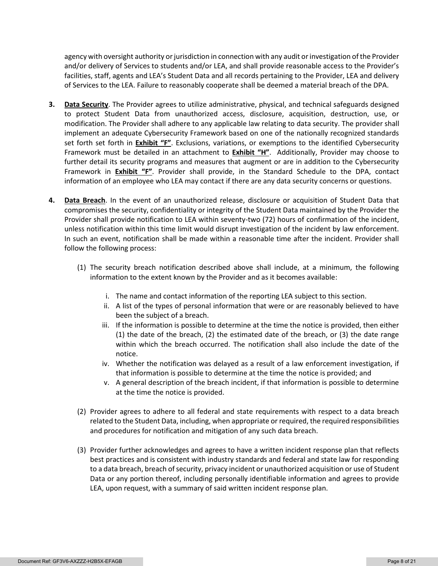agency with oversight authority or jurisdiction in connection with any audit or investigation of the Provider and/or delivery of Services to students and/or LEA, and shall provide reasonable access to the Provider's facilities, staff, agents and LEA's Student Data and all records pertaining to the Provider, LEA and delivery of Services to the LEA. Failure to reasonably cooperate shall be deemed a material breach of the DPA.

- **3. Data Security**. The Provider agrees to utilize administrative, physical, and technical safeguards designed to protect Student Data from unauthorized access, disclosure, acquisition, destruction, use, or modification. The Provider shall adhere to any applicable law relating to data security. The provider shall implement an adequate Cybersecurity Framework based on one of the nationally recognized standards set forth set forth in **Exhibit "F"**. Exclusions, variations, or exemptions to the identified Cybersecurity Framework must be detailed in an attachment to **Exhibit "H"**. Additionally, Provider may choose to further detail its security programs and measures that augment or are in addition to the Cybersecurity Framework in **Exhibit "F"**. Provider shall provide, in the Standard Schedule to the DPA, contact information of an employee who LEA may contact if there are any data security concerns or questions.
- **4. Data Breach**. In the event of an unauthorized release, disclosure or acquisition of Student Data that compromises the security, confidentiality or integrity of the Student Data maintained by the Provider the Provider shall provide notification to LEA within seventy-two (72) hours of confirmation of the incident, unless notification within this time limit would disrupt investigation of the incident by law enforcement. In such an event, notification shall be made within a reasonable time after the incident. Provider shall follow the following process:
	- (1) The security breach notification described above shall include, at a minimum, the following information to the extent known by the Provider and as it becomes available:
		- i. The name and contact information of the reporting LEA subject to this section.
		- ii. A list of the types of personal information that were or are reasonably believed to have been the subject of a breach.
		- iii. If the information is possible to determine at the time the notice is provided, then either (1) the date of the breach, (2) the estimated date of the breach, or (3) the date range within which the breach occurred. The notification shall also include the date of the notice.
		- iv. Whether the notification was delayed as a result of a law enforcement investigation, if that information is possible to determine at the time the notice is provided; and
		- v. A general description of the breach incident, if that information is possible to determine at the time the notice is provided.
	- (2) Provider agrees to adhere to all federal and state requirements with respect to a data breach related to the Student Data, including, when appropriate or required, the required responsibilities and procedures for notification and mitigation of any such data breach.
	- (3) Provider further acknowledges and agrees to have a written incident response plan that reflects best practices and is consistent with industry standards and federal and state law for responding to a data breach, breach of security, privacy incident or unauthorized acquisition or use of Student Data or any portion thereof, including personally identifiable information and agrees to provide LEA, upon request, with a summary of said written incident response plan.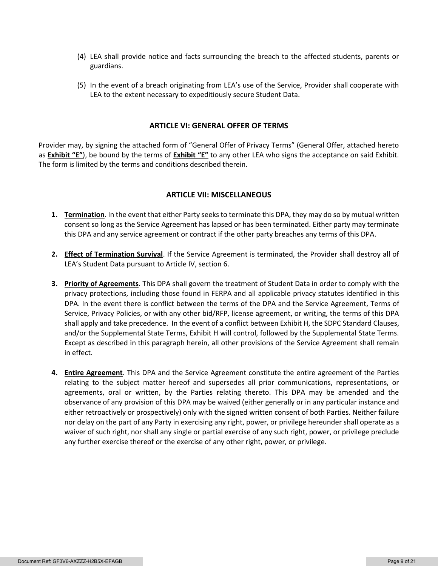- (4) LEA shall provide notice and facts surrounding the breach to the affected students, parents or guardians.
- (5) In the event of a breach originating from LEA's use of the Service, Provider shall cooperate with LEA to the extent necessary to expeditiously secure Student Data.

#### **ARTICLE VI: GENERAL OFFER OF TERMS**

Provider may, by signing the attached form of "General Offer of Privacy Terms" (General Offer, attached hereto as **Exhibit "E"**), be bound by the terms of **Exhibit "E"** to any other LEA who signs the acceptance on said Exhibit. The form is limited by the terms and conditions described therein.

#### **ARTICLE VII: MISCELLANEOUS**

- **1. Termination**. In the event that either Party seeks to terminate this DPA, they may do so by mutual written consent so long as the Service Agreement has lapsed or has been terminated. Either party may terminate this DPA and any service agreement or contract if the other party breaches any terms of this DPA.
- **2. Effect of Termination Survival**. If the Service Agreement is terminated, the Provider shall destroy all of LEA's Student Data pursuant to Article IV, section 6.
- **3. Priority of Agreements**. This DPA shall govern the treatment of Student Data in order to comply with the privacy protections, including those found in FERPA and all applicable privacy statutes identified in this DPA. In the event there is conflict between the terms of the DPA and the Service Agreement, Terms of Service, Privacy Policies, or with any other bid/RFP, license agreement, or writing, the terms of this DPA shall apply and take precedence. In the event of a conflict between Exhibit H, the SDPC Standard Clauses, and/or the Supplemental State Terms, Exhibit H will control, followed by the Supplemental State Terms. Except as described in this paragraph herein, all other provisions of the Service Agreement shall remain in effect.
- **4. Entire Agreement**. This DPA and the Service Agreement constitute the entire agreement of the Parties relating to the subject matter hereof and supersedes all prior communications, representations, or agreements, oral or written, by the Parties relating thereto. This DPA may be amended and the observance of any provision of this DPA may be waived (either generally or in any particular instance and either retroactively or prospectively) only with the signed written consent of both Parties. Neither failure nor delay on the part of any Party in exercising any right, power, or privilege hereunder shall operate as a waiver of such right, nor shall any single or partial exercise of any such right, power, or privilege preclude any further exercise thereof or the exercise of any other right, power, or privilege.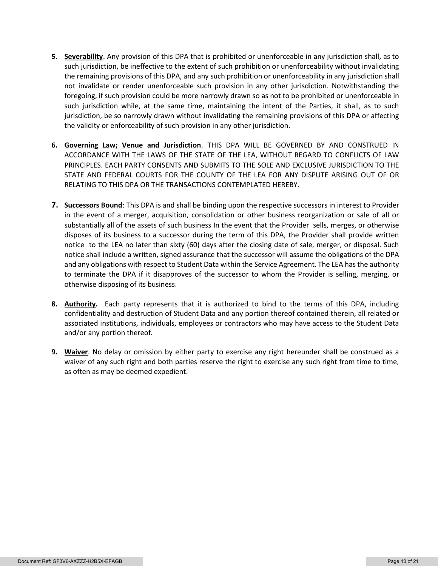- **5. Severability**. Any provision of this DPA that is prohibited or unenforceable in any jurisdiction shall, as to such jurisdiction, be ineffective to the extent of such prohibition or unenforceability without invalidating the remaining provisions of this DPA, and any such prohibition or unenforceability in any jurisdiction shall not invalidate or render unenforceable such provision in any other jurisdiction. Notwithstanding the foregoing, if such provision could be more narrowly drawn so as not to be prohibited or unenforceable in such jurisdiction while, at the same time, maintaining the intent of the Parties, it shall, as to such jurisdiction, be so narrowly drawn without invalidating the remaining provisions of this DPA or affecting the validity or enforceability of such provision in any other jurisdiction.
- **6. Governing Law; Venue and Jurisdiction**. THIS DPA WILL BE GOVERNED BY AND CONSTRUED IN ACCORDANCE WITH THE LAWS OF THE STATE OF THE LEA, WITHOUT REGARD TO CONFLICTS OF LAW PRINCIPLES. EACH PARTY CONSENTS AND SUBMITS TO THE SOLE AND EXCLUSIVE JURISDICTION TO THE STATE AND FEDERAL COURTS FOR THE COUNTY OF THE LEA FOR ANY DISPUTE ARISING OUT OF OR RELATING TO THIS DPA OR THE TRANSACTIONS CONTEMPLATED HEREBY.
- **7. Successors Bound**: This DPA is and shall be binding upon the respective successors in interest to Provider in the event of a merger, acquisition, consolidation or other business reorganization or sale of all or substantially all of the assets of such business In the event that the Provider sells, merges, or otherwise disposes of its business to a successor during the term of this DPA, the Provider shall provide written notice to the LEA no later than sixty (60) days after the closing date of sale, merger, or disposal. Such notice shall include a written, signed assurance that the successor will assume the obligations of the DPA and any obligations with respect to Student Data within the Service Agreement. The LEA has the authority to terminate the DPA if it disapproves of the successor to whom the Provider is selling, merging, or otherwise disposing of its business.
- **8. Authority.** Each party represents that it is authorized to bind to the terms of this DPA, including confidentiality and destruction of Student Data and any portion thereof contained therein, all related or associated institutions, individuals, employees or contractors who may have access to the Student Data and/or any portion thereof.
- **9. Waiver**. No delay or omission by either party to exercise any right hereunder shall be construed as a waiver of any such right and both parties reserve the right to exercise any such right from time to time, as often as may be deemed expedient.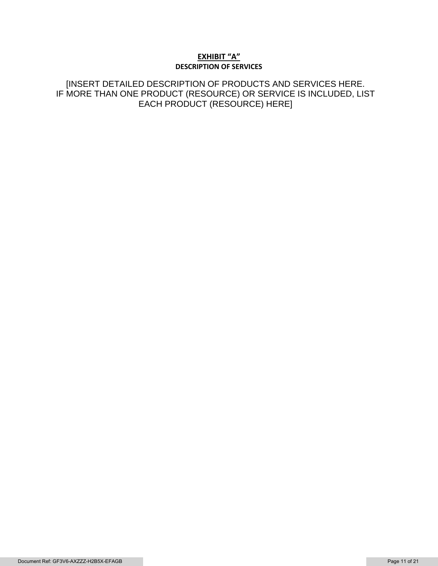### **EXHIBIT "A" DESCRIPTION OF SERVICES**

[INSERT DETAILED DESCRIPTION OF PRODUCTS AND SERVICES HERE. IF MORE THAN ONE PRODUCT (RESOURCE) OR SERVICE IS INCLUDED, LIST EACH PRODUCT (RESOURCE) HERE]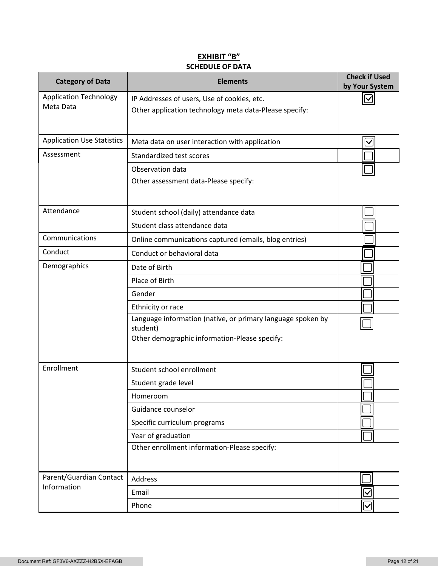# **EXHIBIT "B" SCHEDULE OF DATA**

| <b>Category of Data</b>           | <b>Elements</b>                                                         | <b>Check if Used</b><br>by Your System |
|-----------------------------------|-------------------------------------------------------------------------|----------------------------------------|
| <b>Application Technology</b>     | IP Addresses of users, Use of cookies, etc.                             | $\overline{\vee}$                      |
| Meta Data                         | Other application technology meta data-Please specify:                  |                                        |
| <b>Application Use Statistics</b> | Meta data on user interaction with application                          | $\overline{\mathsf{v}}$                |
| Assessment                        | Standardized test scores                                                |                                        |
|                                   | Observation data                                                        |                                        |
|                                   | Other assessment data-Please specify:                                   |                                        |
| Attendance                        | Student school (daily) attendance data                                  |                                        |
|                                   | Student class attendance data                                           |                                        |
| Communications                    | Online communications captured (emails, blog entries)                   |                                        |
| Conduct                           | Conduct or behavioral data                                              |                                        |
| Demographics                      | Date of Birth                                                           |                                        |
|                                   | Place of Birth                                                          |                                        |
|                                   | Gender                                                                  |                                        |
|                                   | Ethnicity or race                                                       |                                        |
|                                   | Language information (native, or primary language spoken by<br>student) |                                        |
|                                   | Other demographic information-Please specify:                           |                                        |
| Enrollment                        | Student school enrollment                                               |                                        |
|                                   | Student grade level                                                     |                                        |
|                                   | Homeroom                                                                |                                        |
|                                   | Guidance counselor                                                      |                                        |
|                                   | Specific curriculum programs                                            |                                        |
|                                   | Year of graduation                                                      |                                        |
|                                   | Other enrollment information-Please specify:                            |                                        |
| Parent/Guardian Contact           | Address                                                                 |                                        |
| Information                       | Email                                                                   | $\overline{\vee}$                      |
|                                   | Phone                                                                   | $\overline{\mathbf{C}}$                |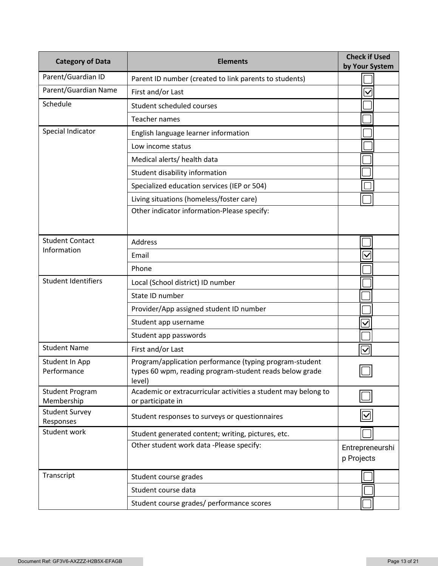| <b>Category of Data</b>              | <b>Elements</b>                                                                                                              | <b>Check if Used</b><br>by Your System |
|--------------------------------------|------------------------------------------------------------------------------------------------------------------------------|----------------------------------------|
| Parent/Guardian ID                   | Parent ID number (created to link parents to students)                                                                       |                                        |
| Parent/Guardian Name                 | First and/or Last                                                                                                            | $\checkmark$                           |
| Schedule                             | Student scheduled courses                                                                                                    |                                        |
|                                      | <b>Teacher names</b>                                                                                                         |                                        |
| Special Indicator                    | English language learner information                                                                                         |                                        |
|                                      | Low income status                                                                                                            |                                        |
|                                      | Medical alerts/ health data                                                                                                  |                                        |
|                                      | Student disability information                                                                                               |                                        |
|                                      | Specialized education services (IEP or 504)                                                                                  |                                        |
|                                      | Living situations (homeless/foster care)                                                                                     |                                        |
|                                      | Other indicator information-Please specify:                                                                                  |                                        |
| <b>Student Contact</b>               | <b>Address</b>                                                                                                               |                                        |
| Information                          | Email                                                                                                                        | $\checkmark$                           |
|                                      | Phone                                                                                                                        |                                        |
| <b>Student Identifiers</b>           | Local (School district) ID number                                                                                            |                                        |
|                                      | State ID number                                                                                                              |                                        |
|                                      | Provider/App assigned student ID number                                                                                      |                                        |
|                                      | Student app username                                                                                                         |                                        |
|                                      | Student app passwords                                                                                                        |                                        |
| <b>Student Name</b>                  | First and/or Last                                                                                                            | $\bm{\nabla}$                          |
| Student In App<br>Performance        | Program/application performance (typing program-student<br>types 60 wpm, reading program-student reads below grade<br>level) |                                        |
| <b>Student Program</b><br>Membership | Academic or extracurricular activities a student may belong to<br>or participate in                                          |                                        |
| <b>Student Survey</b><br>Responses   | Student responses to surveys or questionnaires                                                                               |                                        |
| Student work                         | Student generated content; writing, pictures, etc.                                                                           |                                        |
|                                      | Other student work data -Please specify:                                                                                     | Entrepreneurshi<br>p Projects          |
| Transcript                           | Student course grades                                                                                                        |                                        |
|                                      | Student course data                                                                                                          |                                        |
|                                      | Student course grades/ performance scores                                                                                    |                                        |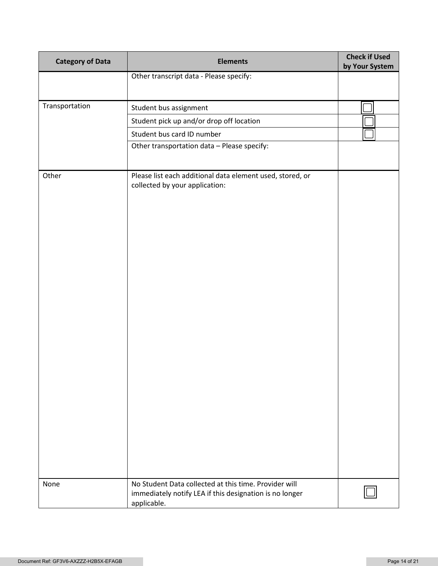| <b>Category of Data</b> | <b>Elements</b>                                                                                                  | <b>Check if Used</b><br>by Your System |
|-------------------------|------------------------------------------------------------------------------------------------------------------|----------------------------------------|
|                         | Other transcript data - Please specify:                                                                          |                                        |
|                         |                                                                                                                  |                                        |
| Transportation          | Student bus assignment                                                                                           |                                        |
|                         | Student pick up and/or drop off location                                                                         |                                        |
|                         | Student bus card ID number                                                                                       |                                        |
|                         | Other transportation data - Please specify:                                                                      |                                        |
|                         |                                                                                                                  |                                        |
| Other                   | Please list each additional data element used, stored, or<br>collected by your application:                      |                                        |
| None                    | No Student Data collected at this time. Provider will<br>immediately notify LEA if this designation is no longer |                                        |
|                         | applicable.                                                                                                      |                                        |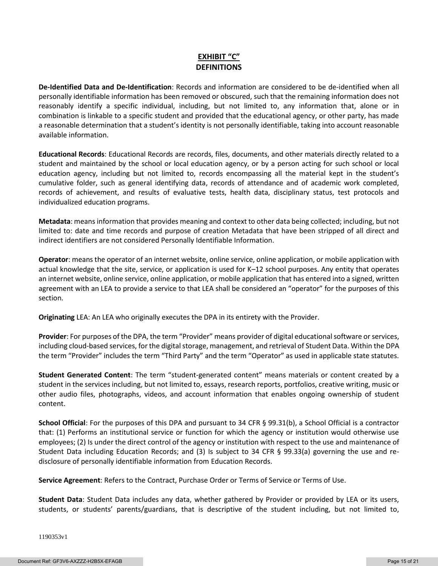# **EXHIBIT "C" DEFINITIONS**

**De-Identified Data and De-Identification**: Records and information are considered to be de-identified when all personally identifiable information has been removed or obscured, such that the remaining information does not reasonably identify a specific individual, including, but not limited to, any information that, alone or in combination is linkable to a specific student and provided that the educational agency, or other party, has made a reasonable determination that a student's identity is not personally identifiable, taking into account reasonable available information.

**Educational Records**: Educational Records are records, files, documents, and other materials directly related to a student and maintained by the school or local education agency, or by a person acting for such school or local education agency, including but not limited to, records encompassing all the material kept in the student's cumulative folder, such as general identifying data, records of attendance and of academic work completed, records of achievement, and results of evaluative tests, health data, disciplinary status, test protocols and individualized education programs.

**Metadata**: means information that provides meaning and context to other data being collected; including, but not limited to: date and time records and purpose of creation Metadata that have been stripped of all direct and indirect identifiers are not considered Personally Identifiable Information.

**Operator**: means the operator of an internet website, online service, online application, or mobile application with actual knowledge that the site, service, or application is used for K–12 school purposes. Any entity that operates an internet website, online service, online application, or mobile application that has entered into a signed, written agreement with an LEA to provide a service to that LEA shall be considered an "operator" for the purposes of this section.

**Originating** LEA: An LEA who originally executes the DPA in its entirety with the Provider.

**Provider**: For purposes of the DPA, the term "Provider" means provider of digital educational software or services, including cloud-based services, for the digital storage, management, and retrieval of Student Data. Within the DPA the term "Provider" includes the term "Third Party" and the term "Operator" as used in applicable state statutes.

**Student Generated Content**: The term "student-generated content" means materials or content created by a student in the services including, but not limited to, essays, research reports, portfolios, creative writing, music or other audio files, photographs, videos, and account information that enables ongoing ownership of student content.

**School Official**: For the purposes of this DPA and pursuant to 34 CFR § 99.31(b), a School Official is a contractor that: (1) Performs an institutional service or function for which the agency or institution would otherwise use employees; (2) Is under the direct control of the agency or institution with respect to the use and maintenance of Student Data including Education Records; and (3) Is subject to 34 CFR § 99.33(a) governing the use and redisclosure of personally identifiable information from Education Records.

**Service Agreement**: Refers to the Contract, Purchase Order or Terms of Service or Terms of Use.

**Student Data**: Student Data includes any data, whether gathered by Provider or provided by LEA or its users, students, or students' parents/guardians, that is descriptive of the student including, but not limited to,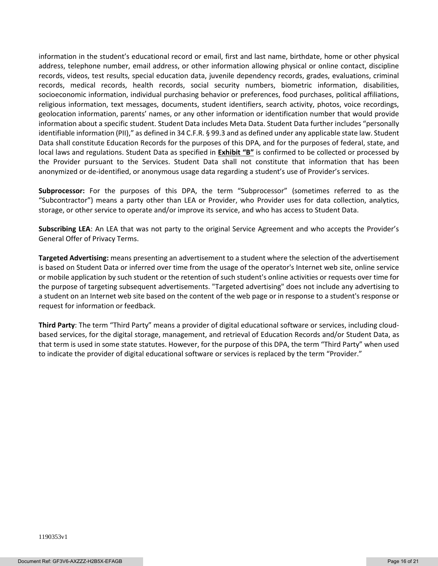information in the student's educational record or email, first and last name, birthdate, home or other physical address, telephone number, email address, or other information allowing physical or online contact, discipline records, videos, test results, special education data, juvenile dependency records, grades, evaluations, criminal records, medical records, health records, social security numbers, biometric information, disabilities, socioeconomic information, individual purchasing behavior or preferences, food purchases, political affiliations, religious information, text messages, documents, student identifiers, search activity, photos, voice recordings, geolocation information, parents' names, or any other information or identification number that would provide information about a specific student. Student Data includes Meta Data. Student Data further includes "personally identifiable information (PII)," as defined in 34 C.F.R. § 99.3 and as defined under any applicable state law. Student Data shall constitute Education Records for the purposes of this DPA, and for the purposes of federal, state, and local laws and regulations. Student Data as specified in **Exhibit "B"** is confirmed to be collected or processed by the Provider pursuant to the Services. Student Data shall not constitute that information that has been anonymized or de-identified, or anonymous usage data regarding a student's use of Provider's services.

**Subprocessor:** For the purposes of this DPA, the term "Subprocessor" (sometimes referred to as the "Subcontractor") means a party other than LEA or Provider, who Provider uses for data collection, analytics, storage, or other service to operate and/or improve its service, and who has access to Student Data.

**Subscribing LEA**: An LEA that was not party to the original Service Agreement and who accepts the Provider's General Offer of Privacy Terms.

**Targeted Advertising:** means presenting an advertisement to a student where the selection of the advertisement is based on Student Data or inferred over time from the usage of the operator's Internet web site, online service or mobile application by such student or the retention of such student's online activities or requests over time for the purpose of targeting subsequent advertisements. "Targeted advertising" does not include any advertising to a student on an Internet web site based on the content of the web page or in response to a student's response or request for information or feedback.

**Third Party**: The term "Third Party" means a provider of digital educational software or services, including cloudbased services, for the digital storage, management, and retrieval of Education Records and/or Student Data, as that term is used in some state statutes. However, for the purpose of this DPA, the term "Third Party" when used to indicate the provider of digital educational software or services is replaced by the term "Provider."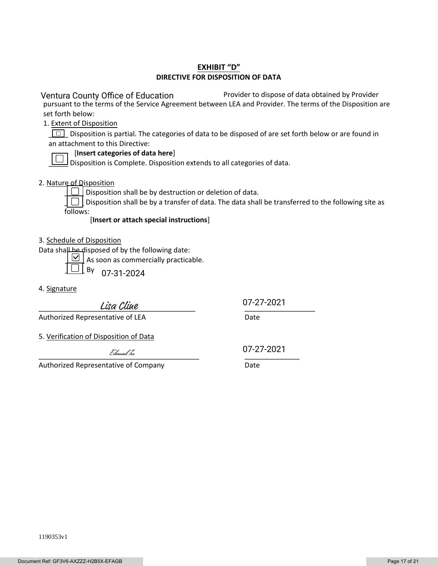### **EXHIBIT "D" DIRECTIVE FOR DISPOSITION OF DATA**

 Provider to dispose of data obtained by Provider pursuant to the terms of the Service Agreement between LEA and Provider. The terms of the Disposition are set forth below: Ventura County Office of Education

1. Extent of Disposition

Disposition is partial. The categories of data to be disposed of are set forth below or are found in an attachment to this Directive:

#### [**Insert categories of data here**]

\_\_\_\_\_ Disposition is Complete. Disposition extends to all categories of data.

#### 2. Nature of Disposition

 $\boxed{\boxed{\phantom{a}}\phantom{a}}$  Disposition shall be by destruction or deletion of data.

 $\Box$  Disposition shall be by a transfer of data. The data shall be transferred to the following site as follows:

#### [**Insert or attach special instructions**]

3. Schedule of Disposition

Data shall be disposed of by the following date:

 $\boxed{\text{M}}$  As soon as commercially practicable.

 $\_$  By 07-31-2024

4. Signature

\_\_\_\_\_\_\_\_\_\_\_\_\_\_\_\_\_\_\_\_\_\_\_\_\_\_\_\_\_\_\_\_\_\_\_\_\_\_\_\_ \_\_\_\_\_\_\_\_\_\_\_\_\_\_\_\_\_\_

07-27-2021

Authorized Representative of LEA Date

5. Verification of Disposition of Data

 $L$  dm and lee  $\frac{L}{L}$  .  $\frac{L}{L}$  .  $\frac{L}{L}$  .  $\frac{L}{L}$  .  $\frac{L}{L}$  .  $\frac{L}{L}$  .  $\frac{L}{L}$  .  $\frac{L}{L}$ 

Authorized Representative of Company **Date** 

07-27-2021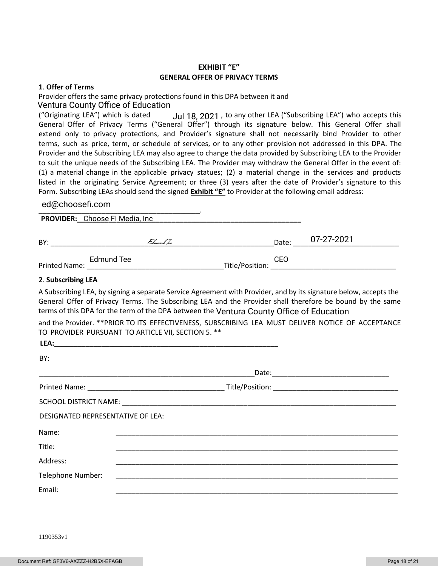### **EXHIBIT "E" GENERAL OFFER OF PRIVACY TERMS**

#### **1**. **Offer of Terms**

Provider offers the same privacy protections found in this DPA between it and Ventura County Office of Education

("Originating LEA") which is dated  $Jul$  18, 2021, to any other LEA ("Subscribing LEA") who accepts this General Offer of Privacy Terms ("General Offer") through its signature below. This General Offer shall extend only to privacy protections, and Provider's signature shall not necessarily bind Provider to other terms, such as price, term, or schedule of services, or to any other provision not addressed in this DPA. The Provider and the Subscribing LEA may also agree to change the data provided by Subscribing LEA to the Provider to suit the unique needs of the Subscribing LEA. The Provider may withdraw the General Offer in the event of: (1) a material change in the applicable privacy statues; (2) a material change in the services and products listed in the originating Service Agreement; or three (3) years after the date of Provider's signature to this Form. Subscribing LEAs should send the signed **Exhibit "E"** to Provider at the following email address:

#### \_\_\_\_\_\_\_\_\_\_\_\_\_\_\_\_\_\_\_\_\_\_\_\_\_\_\_\_\_\_\_\_\_\_\_\_\_\_\_\_\_. ed@choosefi.com

**PROVIDER:\_\_\_\_\_\_\_\_\_\_\_\_\_\_\_\_\_\_\_\_\_\_\_\_\_\_\_\_\_\_\_\_\_\_\_\_\_\_\_\_\_\_\_\_\_\_\_\_\_\_\_\_\_\_\_\_\_** Choose FI Media, Inc

| BY:                  |            | Edmund Tee |                 | Date: | 07-27-2021 |
|----------------------|------------|------------|-----------------|-------|------------|
| <b>Printed Name:</b> | Edmund Tee |            | Title/Position: | CEO   |            |

#### **2**. **Subscribing LEA**

A Subscribing LEA, by signing a separate Service Agreement with Provider, and by its signature below, accepts the General Offer of Privacy Terms. The Subscribing LEA and the Provider shall therefore be bound by the same terms of this DPA for the term of the DPA between the Ventura County Office of Education

and the Provider. \*\*PRIOR TO ITS EFFECTIVENESS, SUBSCRIBING LEA MUST DELIVER NOTICE OF ACCEPTANCE TO PROVIDER PURSUANT TO ARTICLE VII, SECTION 5. \*\*

| LEA:                              |  |
|-----------------------------------|--|
| BY:                               |  |
|                                   |  |
|                                   |  |
|                                   |  |
| DESIGNATED REPRESENTATIVE OF LEA: |  |
| Name:                             |  |
| Title:                            |  |
| Address:                          |  |
| Telephone Number:                 |  |
| Email:                            |  |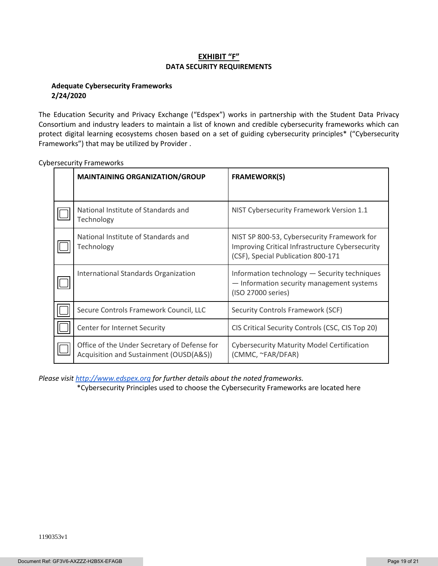### **EXHIBIT "F" DATA SECURITY REQUIREMENTS**

#### **Adequate Cybersecurity Frameworks 2/24/2020**

The Education Security and Privacy Exchange ("Edspex") works in partnership with the Student Data Privacy Consortium and industry leaders to maintain a list of known and credible cybersecurity frameworks which can protect digital learning ecosystems chosen based on a set of guiding cybersecurity principles\* ("Cybersecurity Frameworks") that may be utilized by Provider .

| <b>MAINTAINING ORGANIZATION/GROUP</b>                                                   | <b>FRAMEWORK(S)</b>                                                                                                                  |  |
|-----------------------------------------------------------------------------------------|--------------------------------------------------------------------------------------------------------------------------------------|--|
|                                                                                         |                                                                                                                                      |  |
| National Institute of Standards and<br>Technology                                       | NIST Cybersecurity Framework Version 1.1                                                                                             |  |
| National Institute of Standards and<br>Technology                                       | NIST SP 800-53, Cybersecurity Framework for<br>Improving Critical Infrastructure Cybersecurity<br>(CSF), Special Publication 800-171 |  |
| International Standards Organization                                                    | Information technology - Security techniques<br>- Information security management systems<br>(ISO 27000 series)                      |  |
| Secure Controls Framework Council, LLC                                                  | Security Controls Framework (SCF)                                                                                                    |  |
| Center for Internet Security                                                            | CIS Critical Security Controls (CSC, CIS Top 20)                                                                                     |  |
| Office of the Under Secretary of Defense for<br>Acquisition and Sustainment (OUSD(A&S)) | <b>Cybersecurity Maturity Model Certification</b><br>(CMMC, ~FAR/DFAR)                                                               |  |

Cybersecurity Frameworks

*Please visi[t http://www.edspex.org](http://www.edspex.org/) for further details about the noted frameworks.*

\*Cybersecurity Principles used to choose the Cybersecurity Frameworks are located here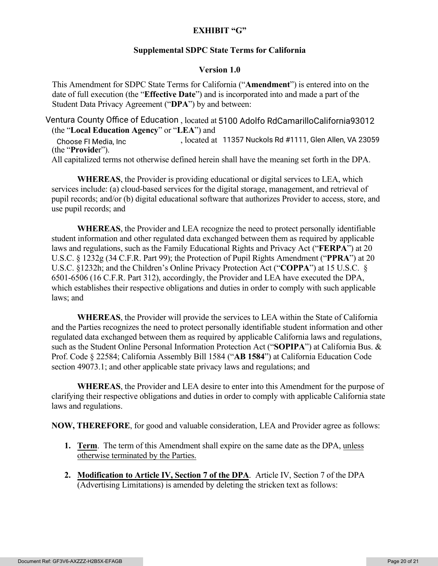# **EXHIBIT "G"**

# **Supplemental SDPC State Terms for California**

## **Version 1.0**

This Amendment for SDPC State Terms for California ("**Amendment**") is entered into on the date of full execution (the "**Effective Date**") and is incorporated into and made a part of the Student Data Privacy Agreement ("**DPA**") by and between:

Ventura County Office of Education , located at 5100 Adolfo RdCamarilloCalifornia93012 (the "**Local Education Agency**" or "**LEA**") and

, located at Choose FI Media, Inc 11357 Nuckols Rd #1111, Glen Allen, VA 23059 (the "**Provide**r").

All capitalized terms not otherwise defined herein shall have the meaning set forth in the DPA.

**WHEREAS**, the Provider is providing educational or digital services to LEA, which services include: (a) cloud-based services for the digital storage, management, and retrieval of pupil records; and/or (b) digital educational software that authorizes Provider to access, store, and use pupil records; and

**WHEREAS**, the Provider and LEA recognize the need to protect personally identifiable student information and other regulated data exchanged between them as required by applicable laws and regulations, such as the Family Educational Rights and Privacy Act ("**FERPA**") at 20 U.S.C. § 1232g (34 C.F.R. Part 99); the Protection of Pupil Rights Amendment ("**PPRA**") at 20 U.S.C. §1232h; and the Children's Online Privacy Protection Act ("**COPPA**") at 15 U.S.C. § 6501-6506 (16 C.F.R. Part 312), accordingly, the Provider and LEA have executed the DPA, which establishes their respective obligations and duties in order to comply with such applicable laws; and

**WHEREAS**, the Provider will provide the services to LEA within the State of California and the Parties recognizes the need to protect personally identifiable student information and other regulated data exchanged between them as required by applicable California laws and regulations, such as the Student Online Personal Information Protection Act ("**SOPIPA**") at California Bus. & Prof. Code § 22584; California Assembly Bill 1584 ("**AB 1584**") at California Education Code section 49073.1; and other applicable state privacy laws and regulations; and

**WHEREAS**, the Provider and LEA desire to enter into this Amendment for the purpose of clarifying their respective obligations and duties in order to comply with applicable California state laws and regulations.

**NOW, THEREFORE**, for good and valuable consideration, LEA and Provider agree as follows:

- **1. Term**. The term of this Amendment shall expire on the same date as the DPA, unless otherwise terminated by the Parties.
- **2. Modification to Article IV, Section 7 of the DPA**. Article IV, Section 7 of the DPA (Advertising Limitations) is amended by deleting the stricken text as follows: